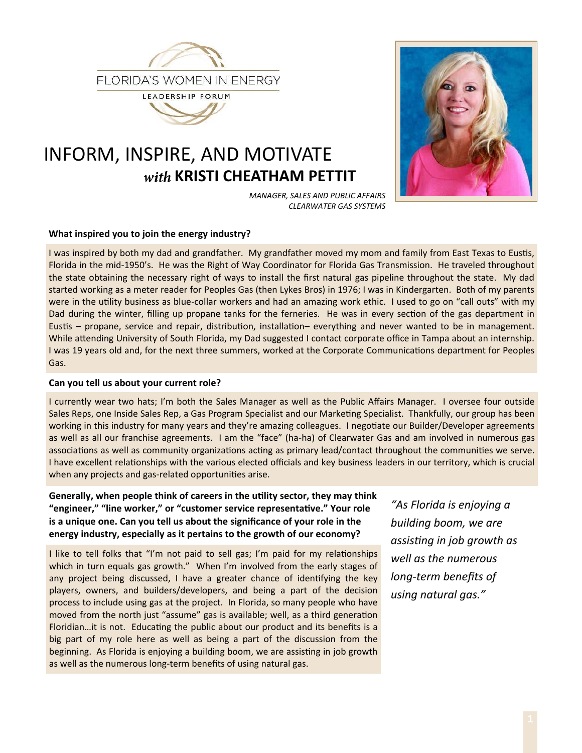

# INFORM, INSPIRE, AND MOTIVATE with KRISTI CHEATHAM PETTIT



MANAGER, SALES AND PUBLIC AFFAIRS **CLEARWATER GAS SYSTEMS** 

## What inspired you to join the energy industry?

I was inspired by both my dad and grandfather. My grandfather moved my mom and family from East Texas to Eustis, Florida in the mid-1950's. He was the Right of Way Coordinator for Florida Gas Transmission. He traveled throughout the state obtaining the necessary right of ways to install the first natural gas pipeline throughout the state. My dad started working as a meter reader for Peoples Gas (then Lykes Bros) in 1976; I was in Kindergarten. Both of my parents were in the utility business as blue-collar workers and had an amazing work ethic. I used to go on "call outs" with my Dad during the winter, filling up propane tanks for the ferneries. He was in every section of the gas department in Eustis – propane, service and repair, distribution, installation– everything and never wanted to be in management. While attending University of South Florida, my Dad suggested I contact corporate office in Tampa about an internship. I was 19 years old and, for the next three summers, worked at the Corporate Communications department for Peoples Gas.

### Can you tell us about your current role?

I currently wear two hats; I'm both the Sales Manager as well as the Public Affairs Manager. I oversee four outside Sales Reps, one Inside Sales Rep, a Gas Program Specialist and our Marketing Specialist. Thankfully, our group has been working in this industry for many years and they're amazing colleagues. I negotiate our Builder/Developer agreements as well as all our franchise agreements. I am the "face" (ha-ha) of Clearwater Gas and am involved in numerous gas associations as well as community organizations acting as primary lead/contact throughout the communities we serve. I have excellent relationships with the various elected officials and key business leaders in our territory, which is crucial when any projects and gas-related opportunities arise.

Generally, when people think of careers in the utility sector, they may think "engineer," "line worker," or "customer service representative." Your role is a unique one. Can you tell us about the significance of your role in the energy industry, especially as it pertains to the growth of our economy?

I like to tell folks that "I'm not paid to sell gas; I'm paid for my relationships which in turn equals gas growth." When I'm involved from the early stages of any project being discussed, I have a greater chance of identifying the key players, owners, and builders/developers, and being a part of the decision process to include using gas at the project. In Florida, so many people who have moved from the north just "assume" gas is available; well, as a third generation Floridian...it is not. Educating the public about our product and its benefits is a big part of my role here as well as being a part of the discussion from the beginning. As Florida is enjoying a building boom, we are assisting in job growth as well as the numerous long-term benefits of using natural gas.

"As Florida is enjoying a building boom, we are assisting in job growth as well as the numerous long-term benefits of using natural gas."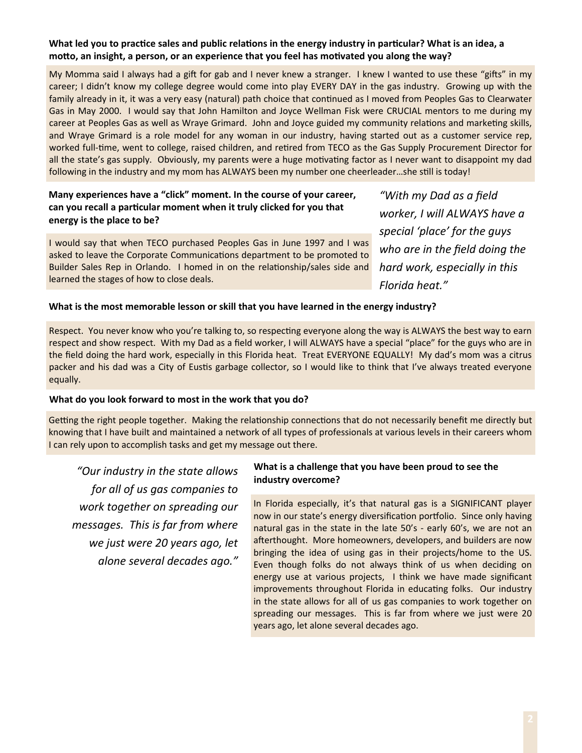## What led you to practice sales and public relations in the energy industry in particular? What is an idea, a motto, an insight, a person, or an experience that you feel has motivated you along the way?

My Momma said I always had a gift for gab and I never knew a stranger. I knew I wanted to use these "gifts" in my career; I didn't know my college degree would come into play EVERY DAY in the gas industry. Growing up with the family already in it, it was a very easy (natural) path choice that continued as I moved from Peoples Gas to Clearwater Gas in May 2000. I would say that John Hamilton and Joyce Wellman Fisk were CRUCIAL mentors to me during my career at Peoples Gas as well as Wraye Grimard. John and Joyce guided my community relations and marketing skills, and Wraye Grimard is a role model for any woman in our industry, having started out as a customer service rep, worked full-time, went to college, raised children, and retired from TECO as the Gas Supply Procurement Director for all the state's gas supply. Obviously, my parents were a huge motivating factor as I never want to disappoint my dad following in the industry and my mom has ALWAYS been my number one cheerleader...she still is today!

# Many experiences have a "click" moment. In the course of your career, can you recall a particular moment when it truly clicked for you that energy is the place to be?

I would say that when TECO purchased Peoples Gas in June 1997 and I was asked to leave the Corporate Communications department to be promoted to Builder Sales Rep in Orlando. I homed in on the relationship/sales side and learned the stages of how to close deals.

"With my Dad as a field worker, I will ALWAYS have a special 'place' for the guys who are in the field doing the hard work, especially in this Florida heat."

## What is the most memorable lesson or skill that you have learned in the energy industry?

Respect. You never know who you're talking to, so respecting everyone along the way is ALWAYS the best way to earn respect and show respect. With my Dad as a field worker, I will ALWAYS have a special "place" for the guys who are in the field doing the hard work, especially in this Florida heat. Treat EVERYONE EQUALLY! My dad's mom was a citrus packer and his dad was a City of Eustis garbage collector, so I would like to think that I've always treated everyone equally.

## What do you look forward to most in the work that you do?

Getting the right people together. Making the relationship connections that do not necessarily benefit me directly but knowing that I have built and maintained a network of all types of professionals at various levels in their careers whom I can rely upon to accomplish tasks and get my message out there.

"Our industry in the state allows for all of us gas companies to work together on spreading our messages. This is far from where we just were 20 years ago, let alone several decades ago."

### What is a challenge that you have been proud to see the industry overcome?

In Florida especially, it's that natural gas is a SIGNIFICANT player now in our state's energy diversification portfolio. Since only having natural gas in the state in the late 50's - early 60's, we are not an afterthought. More homeowners, developers, and builders are now bringing the idea of using gas in their projects/home to the US. Even though folks do not always think of us when deciding on energy use at various projects, I think we have made significant improvements throughout Florida in educating folks. Our industry in the state allows for all of us gas companies to work together on spreading our messages. This is far from where we just were 20 years ago, let alone several decades ago.